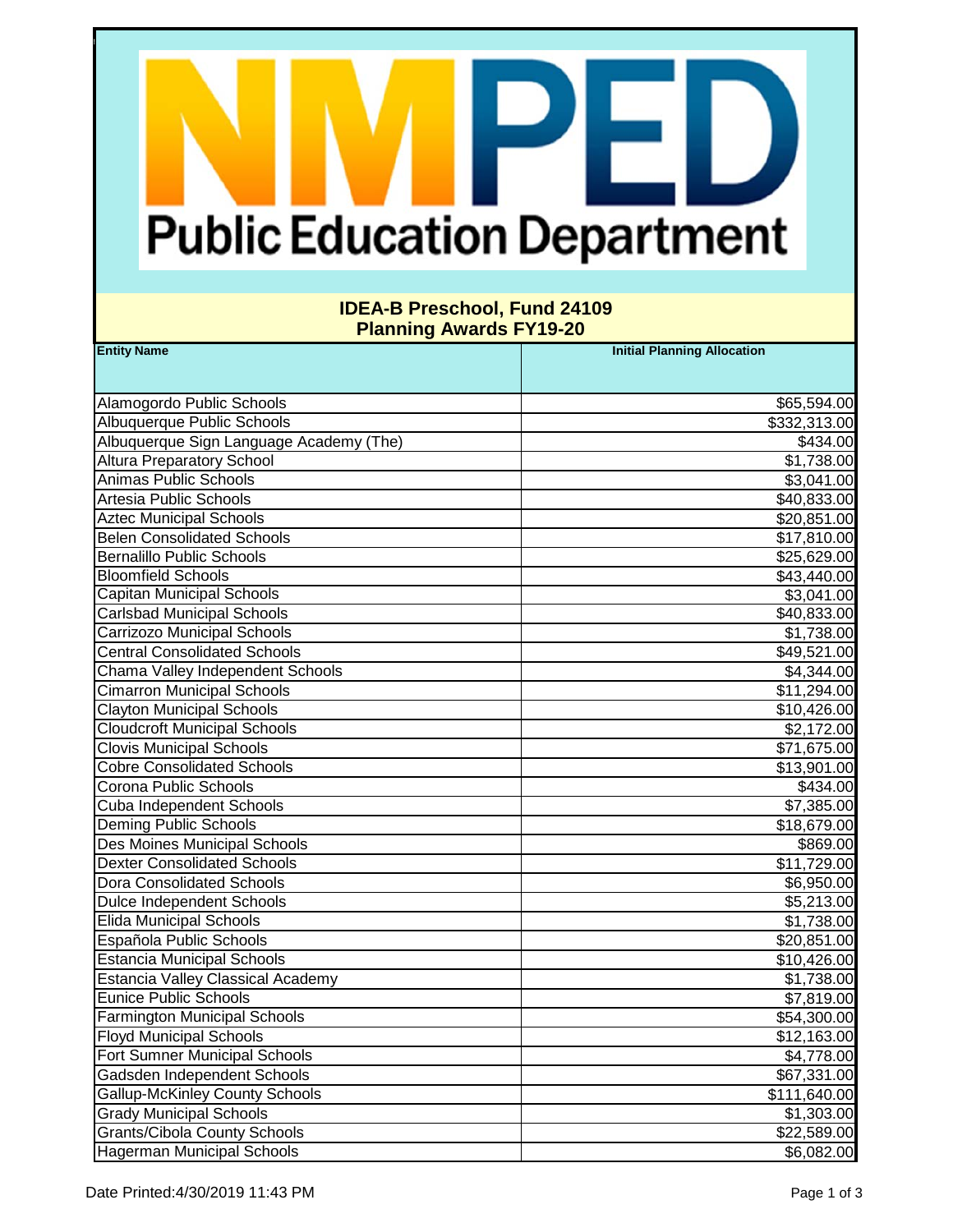# **Public Education Department**

F.

### **IDEA-B Preschool, Fund 24109 Planning Awards FY19-20**

| <b>Entity Name</b>                       | <b>Initial Planning Allocation</b> |
|------------------------------------------|------------------------------------|
|                                          |                                    |
| Alamogordo Public Schools                | \$65,594.00                        |
| Albuquerque Public Schools               | \$332,313.00                       |
| Albuquerque Sign Language Academy (The)  | \$434.00                           |
| <b>Altura Preparatory School</b>         | \$1,738.00                         |
| Animas Public Schools                    | \$3,041.00                         |
| Artesia Public Schools                   | \$40,833.00                        |
| <b>Aztec Municipal Schools</b>           | \$20,851.00                        |
| <b>Belen Consolidated Schools</b>        | \$17,810.00                        |
| <b>Bernalillo Public Schools</b>         | \$25,629.00                        |
| <b>Bloomfield Schools</b>                | \$43,440.00                        |
| Capitan Municipal Schools                | \$3,041.00                         |
| <b>Carlsbad Municipal Schools</b>        | \$40,833.00                        |
| Carrizozo Municipal Schools              | \$1,738.00                         |
| <b>Central Consolidated Schools</b>      | \$49,521.00                        |
| Chama Valley Independent Schools         | \$4,344.00                         |
| <b>Cimarron Municipal Schools</b>        | \$11,294.00                        |
| <b>Clayton Municipal Schools</b>         | \$10,426.00                        |
| <b>Cloudcroft Municipal Schools</b>      | \$2,172.00                         |
| <b>Clovis Municipal Schools</b>          | \$71,675.00                        |
| <b>Cobre Consolidated Schools</b>        | \$13,901.00                        |
| Corona Public Schools                    | \$434.00                           |
| Cuba Independent Schools                 | \$7,385.00                         |
| <b>Deming Public Schools</b>             | \$18,679.00                        |
| Des Moines Municipal Schools             | \$869.00                           |
| <b>Dexter Consolidated Schools</b>       | \$11,729.00                        |
| <b>Dora Consolidated Schools</b>         | \$6,950.00                         |
| <b>Dulce Independent Schools</b>         | \$5,213.00                         |
| <b>Elida Municipal Schools</b>           | \$1,738.00                         |
| Española Public Schools                  | \$20,851.00                        |
| <b>Estancia Municipal Schools</b>        | \$10,426.00                        |
| <b>Estancia Valley Classical Academy</b> | \$1,738.00                         |
| <b>Eunice Public Schools</b>             | \$7,819.00                         |
| <b>Farmington Municipal Schools</b>      | \$54,300.00                        |
| <b>Floyd Municipal Schools</b>           | \$12,163.00                        |
| Fort Sumner Municipal Schools            | \$4,778.00                         |
| Gadsden Independent Schools              | \$67,331.00                        |
| <b>Gallup-McKinley County Schools</b>    | \$111,640.00                       |
| <b>Grady Municipal Schools</b>           | \$1,303.00                         |
| <b>Grants/Cibola County Schools</b>      | \$22,589.00                        |
| <b>Hagerman Municipal Schools</b>        | \$6,082.00                         |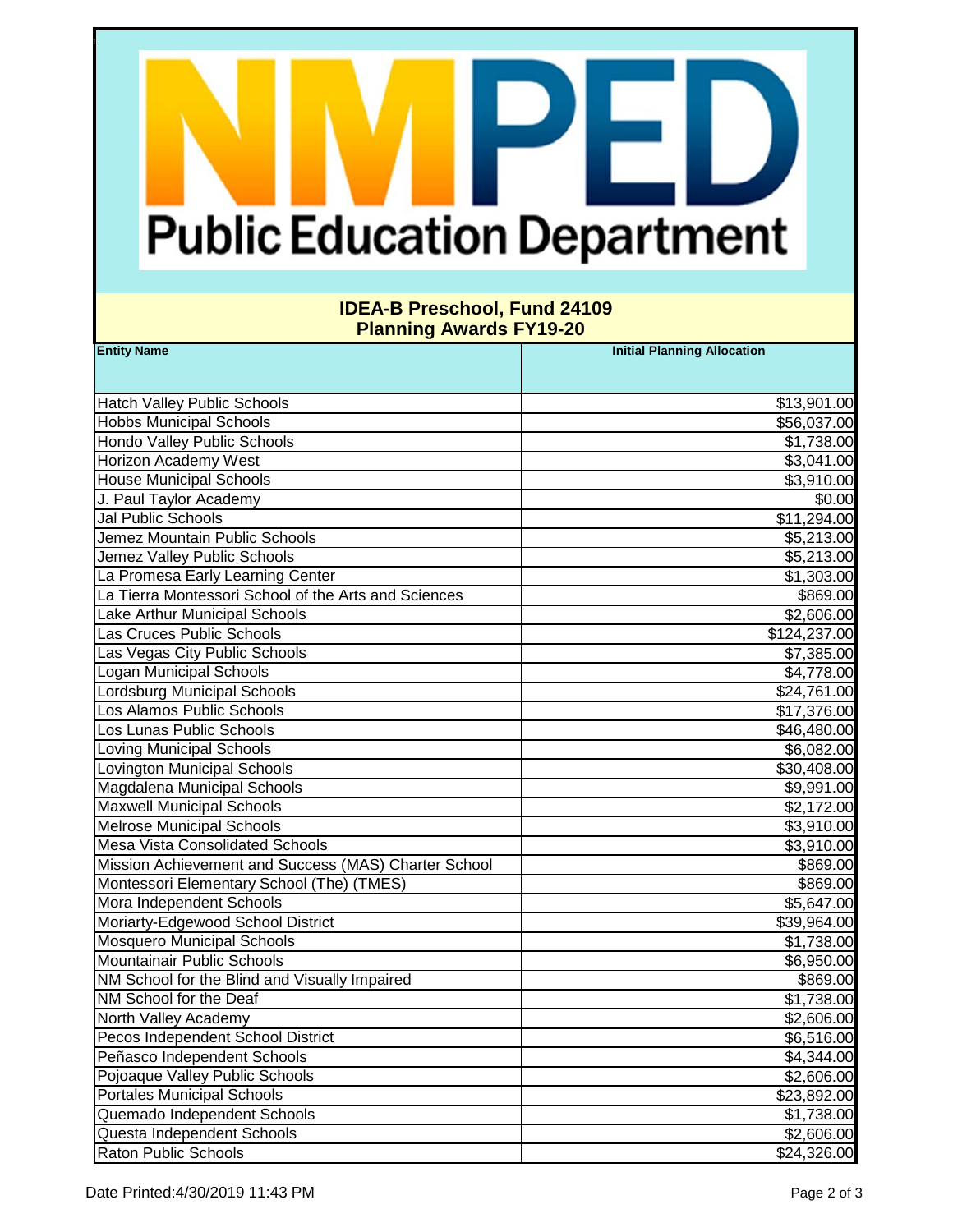# **Public Education Department**

F.

### **IDEA-B Preschool, Fund 24109 Planning Awards FY19-20**

| <b>Entity Name</b>                                   | <b>Initial Planning Allocation</b> |
|------------------------------------------------------|------------------------------------|
|                                                      |                                    |
| <b>Hatch Valley Public Schools</b>                   | \$13,901.00                        |
| <b>Hobbs Municipal Schools</b>                       | \$56,037.00                        |
| <b>Hondo Valley Public Schools</b>                   | \$1,738.00                         |
| Horizon Academy West                                 | \$3,041.00                         |
| <b>House Municipal Schools</b>                       | \$3,910.00                         |
| J. Paul Taylor Academy                               | \$0.00                             |
| Jal Public Schools                                   | \$11,294.00                        |
| Jemez Mountain Public Schools                        | \$5,213.00                         |
| Jemez Valley Public Schools                          | \$5,213.00                         |
| La Promesa Early Learning Center                     | \$1,303.00                         |
| La Tierra Montessori School of the Arts and Sciences | \$869.00                           |
| Lake Arthur Municipal Schools                        | \$2,606.00                         |
| Las Cruces Public Schools                            | \$124,237.00                       |
| Las Vegas City Public Schools                        | \$7,385.00                         |
| Logan Municipal Schools                              | \$4,778.00                         |
| <b>Lordsburg Municipal Schools</b>                   | \$24,761.00                        |
| Los Alamos Public Schools                            | \$17,376.00                        |
| Los Lunas Public Schools                             | \$46,480.00                        |
| <b>Loving Municipal Schools</b>                      | \$6,082.00                         |
| <b>Lovington Municipal Schools</b>                   | \$30,408.00                        |
| Magdalena Municipal Schools                          | \$9,991.00                         |
| <b>Maxwell Municipal Schools</b>                     | \$2,172.00                         |
| <b>Melrose Municipal Schools</b>                     | \$3,910.00                         |
| <b>Mesa Vista Consolidated Schools</b>               | \$3,910.00                         |
| Mission Achievement and Success (MAS) Charter School | \$869.00                           |
| Montessori Elementary School (The) (TMES)            | \$869.00                           |
| Mora Independent Schools                             | \$5,647.00                         |
| Moriarty-Edgewood School District                    | \$39,964.00                        |
| <b>Mosquero Municipal Schools</b>                    | \$1,738.00                         |
| Mountainair Public Schools                           | \$6,950.00                         |
| NM School for the Blind and Visually Impaired        | \$869.00                           |
| NM School for the Deaf                               | \$1,738.00                         |
| North Valley Academy                                 | \$2,606.00                         |
| Pecos Independent School District                    | \$6,516.00                         |
| Peñasco Independent Schools                          | \$4,344.00                         |
| Pojoaque Valley Public Schools                       | \$2,606.00                         |
| <b>Portales Municipal Schools</b>                    | \$23,892.00                        |
| Quemado Independent Schools                          | \$1,738.00                         |
| Questa Independent Schools                           | \$2,606.00                         |
| <b>Raton Public Schools</b>                          | \$24,326.00                        |